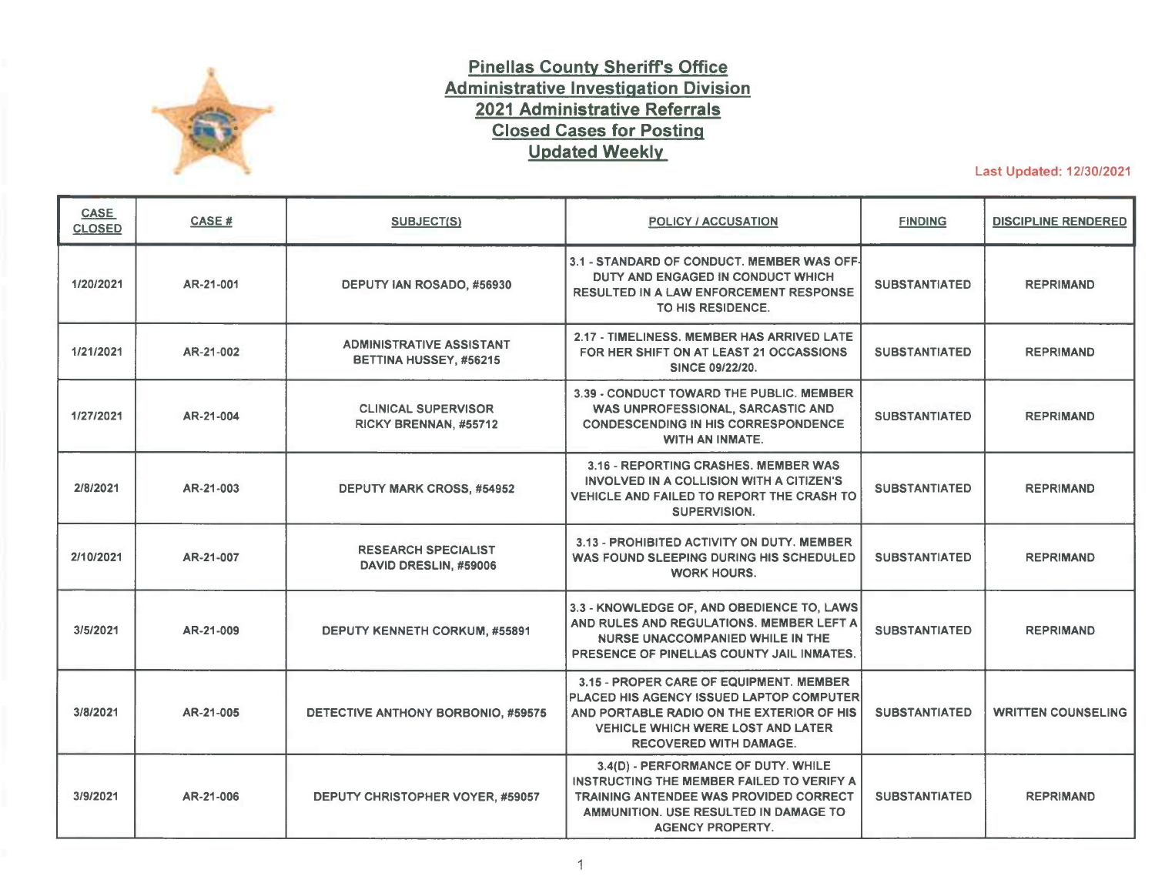

## **Pinellas County Sheriffs Office Administrative Investigation Division 2021 Administrative Referrals Closed Cases for Posting Updated Weekly**

Last Updated: 12/30/2021

| <b>CASE</b><br><b>CLOSED</b> | <b>CASE#</b> | SUBJECT(S)                                                | <b>POLICY / ACCUSATION</b>                                                                                                                                                                                    | <b>FINDING</b>       | <b>DISCIPLINE RENDERED</b> |
|------------------------------|--------------|-----------------------------------------------------------|---------------------------------------------------------------------------------------------------------------------------------------------------------------------------------------------------------------|----------------------|----------------------------|
| 1/20/2021                    | AR-21-001    | DEPUTY IAN ROSADO, #56930                                 | 3.1 - STANDARD OF CONDUCT. MEMBER WAS OFF-<br>DUTY AND ENGAGED IN CONDUCT WHICH<br><b>RESULTED IN A LAW ENFORCEMENT RESPONSE</b><br>TO HIS RESIDENCE.                                                         | <b>SUBSTANTIATED</b> | <b>REPRIMAND</b>           |
| 1/21/2021                    | AR-21-002    | <b>ADMINISTRATIVE ASSISTANT</b><br>BETTINA HUSSEY, #56215 | 2.17 - TIMELINESS, MEMBER HAS ARRIVED LATE<br>FOR HER SHIFT ON AT LEAST 21 OCCASSIONS<br><b>SINCE 09/22/20.</b>                                                                                               | <b>SUBSTANTIATED</b> | <b>REPRIMAND</b>           |
| 1/27/2021                    | AR-21-004    | <b>CLINICAL SUPERVISOR</b><br>RICKY BRENNAN, #55712       | 3.39 - CONDUCT TOWARD THE PUBLIC. MEMBER<br>WAS UNPROFESSIONAL, SARCASTIC AND<br><b>CONDESCENDING IN HIS CORRESPONDENCE</b><br><b>WITH AN INMATE.</b>                                                         | <b>SUBSTANTIATED</b> | <b>REPRIMAND</b>           |
| 2/8/2021                     | AR-21-003    | <b>DEPUTY MARK CROSS, #54952</b>                          | 3.16 - REPORTING CRASHES, MEMBER WAS<br>INVOLVED IN A COLLISION WITH A CITIZEN'S<br>VEHICLE AND FAILED TO REPORT THE CRASH TO<br>SUPERVISION.                                                                 | <b>SUBSTANTIATED</b> | <b>REPRIMAND</b>           |
| 2/10/2021                    | AR-21-007    | <b>RESEARCH SPECIALIST</b><br>DAVID DRESLIN, #59006       | 3.13 - PROHIBITED ACTIVITY ON DUTY, MEMBER<br>WAS FOUND SLEEPING DURING HIS SCHEDULED<br><b>WORK HOURS.</b>                                                                                                   | <b>SUBSTANTIATED</b> | <b>REPRIMAND</b>           |
| 3/5/2021                     | AR-21-009    | <b>DEPUTY KENNETH CORKUM, #55891</b>                      | 3.3 - KNOWLEDGE OF, AND OBEDIENCE TO, LAWS<br>AND RULES AND REGULATIONS. MEMBER LEFT A<br>NURSE UNACCOMPANIED WHILE IN THE<br>PRESENCE OF PINELLAS COUNTY JAIL INMATES.                                       | <b>SUBSTANTIATED</b> | <b>REPRIMAND</b>           |
| 3/8/2021                     | AR-21-005    | DETECTIVE ANTHONY BORBONIO, #59575                        | 3.15 - PROPER CARE OF EQUIPMENT. MEMBER<br>PLACED HIS AGENCY ISSUED LAPTOP COMPUTER<br>AND PORTABLE RADIO ON THE EXTERIOR OF HIS<br><b>VEHICLE WHICH WERE LOST AND LATER</b><br><b>RECOVERED WITH DAMAGE.</b> | <b>SUBSTANTIATED</b> | <b>WRITTEN COUNSELING</b>  |
| 3/9/2021                     | AR-21-006    | DEPUTY CHRISTOPHER VOYER, #59057                          | 3.4(D) - PERFORMANCE OF DUTY. WHILE<br>INSTRUCTING THE MEMBER FAILED TO VERIFY A<br>TRAINING ANTENDEE WAS PROVIDED CORRECT<br>AMMUNITION. USE RESULTED IN DAMAGE TO<br><b>AGENCY PROPERTY.</b>                | <b>SUBSTANTIATED</b> | <b>REPRIMAND</b>           |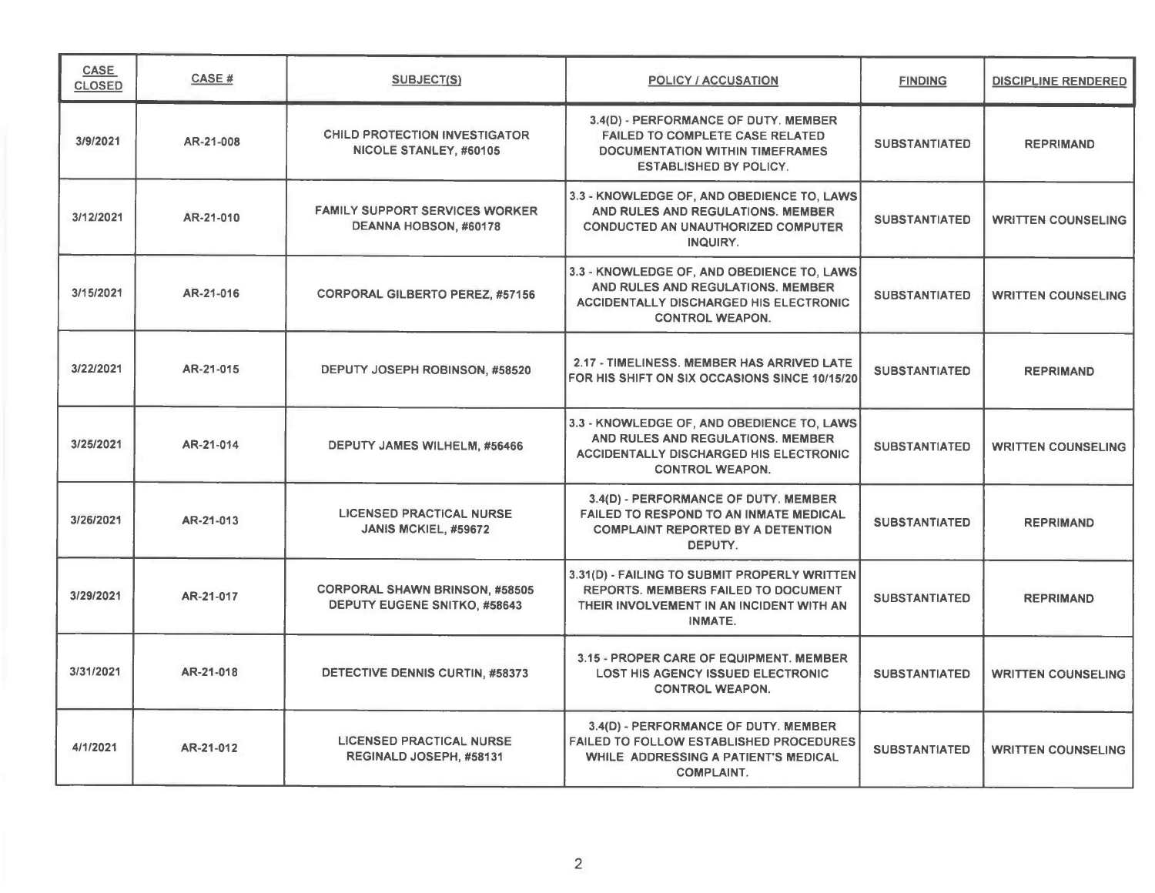| <b>CASE</b><br><b>CLOSED</b> | <b>CASE#</b> | SUBJECT(S)                                                            | <b>POLICY / ACCUSATION</b>                                                                                                                                 | <b>FINDING</b>       | <b>DISCIPLINE RENDERED</b> |
|------------------------------|--------------|-----------------------------------------------------------------------|------------------------------------------------------------------------------------------------------------------------------------------------------------|----------------------|----------------------------|
| 3/9/2021                     | AR-21-008    | <b>CHILD PROTECTION INVESTIGATOR</b><br>NICOLE STANLEY, #60105        | 3.4(D) - PERFORMANCE OF DUTY. MEMBER<br><b>FAILED TO COMPLETE CASE RELATED</b><br><b>DOCUMENTATION WITHIN TIMEFRAMES</b><br><b>ESTABLISHED BY POLICY.</b>  | <b>SUBSTANTIATED</b> | <b>REPRIMAND</b>           |
| 3/12/2021                    | AR-21-010    | <b>FAMILY SUPPORT SERVICES WORKER</b><br>DEANNA HOBSON, #60178        | 3.3 - KNOWLEDGE OF, AND OBEDIENCE TO, LAWS<br>AND RULES AND REGULATIONS. MEMBER<br><b>CONDUCTED AN UNAUTHORIZED COMPUTER</b><br>INQUIRY.                   | <b>SUBSTANTIATED</b> | <b>WRITTEN COUNSELING</b>  |
| 3/15/2021                    | AR-21-016    | <b>CORPORAL GILBERTO PEREZ, #57156</b>                                | 3.3 - KNOWLEDGE OF, AND OBEDIENCE TO, LAWS<br>AND RULES AND REGULATIONS. MEMBER<br><b>ACCIDENTALLY DISCHARGED HIS ELECTRONIC</b><br><b>CONTROL WEAPON.</b> | <b>SUBSTANTIATED</b> | <b>WRITTEN COUNSELING</b>  |
| 3/22/2021                    | AR-21-015    | DEPUTY JOSEPH ROBINSON, #58520                                        | 2.17 - TIMELINESS. MEMBER HAS ARRIVED LATE<br>FOR HIS SHIFT ON SIX OCCASIONS SINCE 10/15/20                                                                | <b>SUBSTANTIATED</b> | <b>REPRIMAND</b>           |
| 3/25/2021                    | AR-21-014    | DEPUTY JAMES WILHELM, #56466                                          | 3.3 - KNOWLEDGE OF, AND OBEDIENCE TO, LAWS<br>AND RULES AND REGULATIONS. MEMBER<br>ACCIDENTALLY DISCHARGED HIS ELECTRONIC<br><b>CONTROL WEAPON.</b>        | <b>SUBSTANTIATED</b> | <b>WRITTEN COUNSELING</b>  |
| 3/26/2021                    | AR-21-013    | <b>LICENSED PRACTICAL NURSE</b><br>JANIS MCKIEL, #59672               | 3.4(D) - PERFORMANCE OF DUTY. MEMBER<br><b>FAILED TO RESPOND TO AN INMATE MEDICAL</b><br><b>COMPLAINT REPORTED BY A DETENTION</b><br>DEPUTY.               | <b>SUBSTANTIATED</b> | <b>REPRIMAND</b>           |
| 3/29/2021                    | AR-21-017    | <b>CORPORAL SHAWN BRINSON, #58505</b><br>DEPUTY EUGENE SNITKO, #58643 | 3.31(D) - FAILING TO SUBMIT PROPERLY WRITTEN<br><b>REPORTS. MEMBERS FAILED TO DOCUMENT</b><br>THEIR INVOLVEMENT IN AN INCIDENT WITH AN<br><b>INMATE.</b>   | <b>SUBSTANTIATED</b> | <b>REPRIMAND</b>           |
| 3/31/2021                    | AR-21-018    | DETECTIVE DENNIS CURTIN, #58373                                       | 3.15 - PROPER CARE OF EQUIPMENT. MEMBER<br><b>LOST HIS AGENCY ISSUED ELECTRONIC</b><br><b>CONTROL WEAPON.</b>                                              | <b>SUBSTANTIATED</b> | <b>WRITTEN COUNSELING</b>  |
| 4/1/2021                     | AR-21-012    | <b>LICENSED PRACTICAL NURSE</b><br>REGINALD JOSEPH, #58131            | 3.4(D) - PERFORMANCE OF DUTY. MEMBER<br><b>FAILED TO FOLLOW ESTABLISHED PROCEDURES</b><br>WHILE ADDRESSING A PATIENT'S MEDICAL<br><b>COMPLAINT.</b>        | <b>SUBSTANTIATED</b> | <b>WRITTEN COUNSELING</b>  |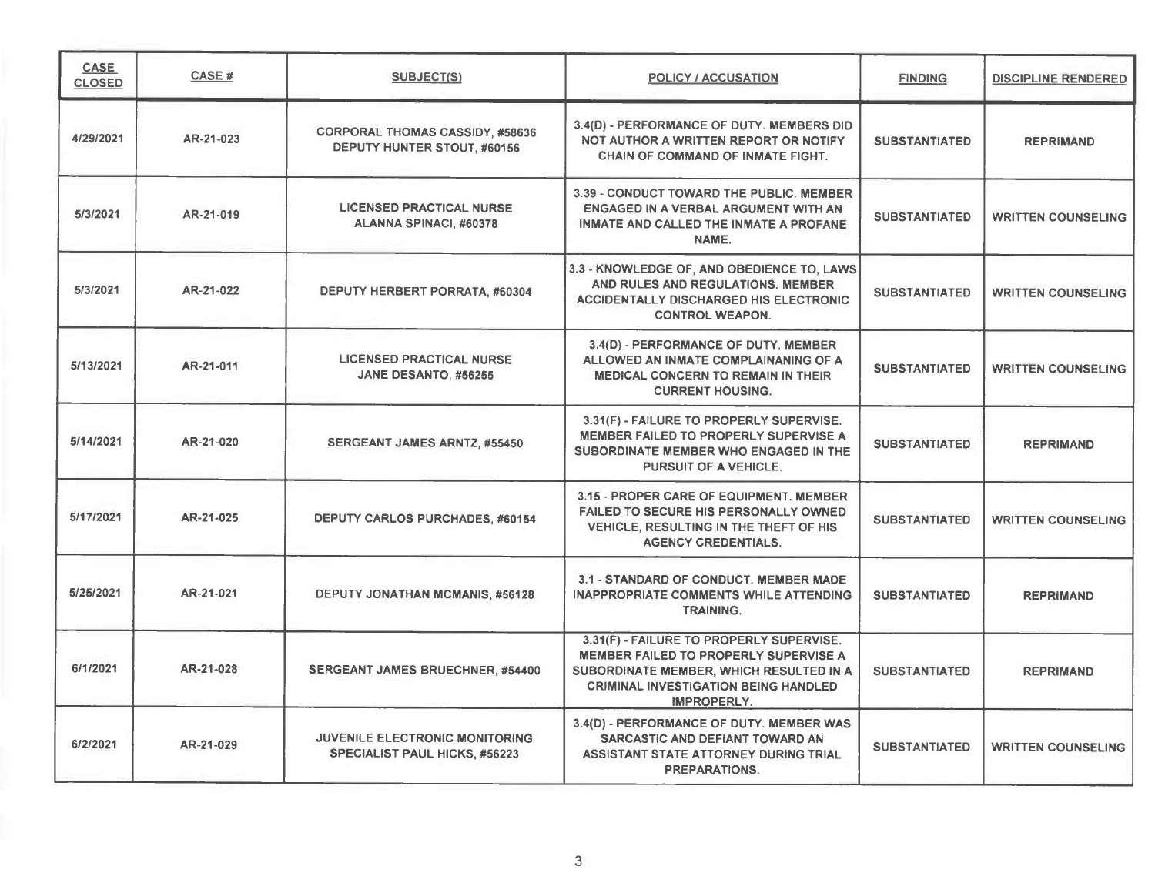| <b>CASE</b><br><b>CLOSED</b> | <b>CASE#</b> | <b>SUBJECT(S)</b>                                                             | <b>POLICY / ACCUSATION</b>                                                                                                                                                                        | <b>FINDING</b>       | <b>DISCIPLINE RENDERED</b> |
|------------------------------|--------------|-------------------------------------------------------------------------------|---------------------------------------------------------------------------------------------------------------------------------------------------------------------------------------------------|----------------------|----------------------------|
| 4/29/2021                    | AR-21-023    | <b>CORPORAL THOMAS CASSIDY, #58636</b><br>DEPUTY HUNTER STOUT, #60156         | 3.4(D) - PERFORMANCE OF DUTY. MEMBERS DID<br>NOT AUTHOR A WRITTEN REPORT OR NOTIFY<br><b>CHAIN OF COMMAND OF INMATE FIGHT.</b>                                                                    | <b>SUBSTANTIATED</b> | <b>REPRIMAND</b>           |
| 5/3/2021                     | AR-21-019    | <b>LICENSED PRACTICAL NURSE</b><br><b>ALANNA SPINACI, #60378</b>              | 3.39 - CONDUCT TOWARD THE PUBLIC. MEMBER<br><b>ENGAGED IN A VERBAL ARGUMENT WITH AN</b><br><b>INMATE AND CALLED THE INMATE A PROFANE</b><br>NAME.                                                 | <b>SUBSTANTIATED</b> | <b>WRITTEN COUNSELING</b>  |
| 5/3/2021                     | AR-21-022    | DEPUTY HERBERT PORRATA, #60304                                                | 3.3 - KNOWLEDGE OF, AND OBEDIENCE TO, LAWS<br>AND RULES AND REGULATIONS. MEMBER<br><b>ACCIDENTALLY DISCHARGED HIS ELECTRONIC</b><br><b>CONTROL WEAPON.</b>                                        | <b>SUBSTANTIATED</b> | <b>WRITTEN COUNSELING</b>  |
| 5/13/2021                    | AR-21-011    | <b>LICENSED PRACTICAL NURSE</b><br>JANE DESANTO, #56255                       | 3.4(D) - PERFORMANCE OF DUTY. MEMBER<br>ALLOWED AN INMATE COMPLAINANING OF A<br><b>MEDICAL CONCERN TO REMAIN IN THEIR</b><br><b>CURRENT HOUSING.</b>                                              | <b>SUBSTANTIATED</b> | <b>WRITTEN COUNSELING</b>  |
| 5/14/2021                    | AR-21-020    | <b>SERGEANT JAMES ARNTZ, #55450</b>                                           | 3.31(F) - FAILURE TO PROPERLY SUPERVISE.<br>MEMBER FAILED TO PROPERLY SUPERVISE A<br>SUBORDINATE MEMBER WHO ENGAGED IN THE<br><b>PURSUIT OF A VEHICLE.</b>                                        | <b>SUBSTANTIATED</b> | <b>REPRIMAND</b>           |
| 5/17/2021                    | AR-21-025    | <b>DEPUTY CARLOS PURCHADES, #60154</b>                                        | 3.15 - PROPER CARE OF EQUIPMENT. MEMBER<br>FAILED TO SECURE HIS PERSONALLY OWNED<br>VEHICLE, RESULTING IN THE THEFT OF HIS<br><b>AGENCY CREDENTIALS.</b>                                          | <b>SUBSTANTIATED</b> | <b>WRITTEN COUNSELING</b>  |
| 5/25/2021                    | AR-21-021    | DEPUTY JONATHAN MCMANIS, #56128                                               | 3.1 - STANDARD OF CONDUCT. MEMBER MADE<br><b>INAPPROPRIATE COMMENTS WHILE ATTENDING</b><br><b>TRAINING.</b>                                                                                       | <b>SUBSTANTIATED</b> | <b>REPRIMAND</b>           |
| 6/1/2021                     | AR-21-028    | SERGEANT JAMES BRUECHNER, #54400                                              | 3.31(F) - FAILURE TO PROPERLY SUPERVISE.<br>MEMBER FAILED TO PROPERLY SUPERVISE A<br>SUBORDINATE MEMBER, WHICH RESULTED IN A<br><b>CRIMINAL INVESTIGATION BEING HANDLED</b><br><b>IMPROPERLY.</b> | <b>SUBSTANTIATED</b> | <b>REPRIMAND</b>           |
| 6/2/2021                     | AR-21-029    | <b>JUVENILE ELECTRONIC MONITORING</b><br><b>SPECIALIST PAUL HICKS, #56223</b> | 3.4(D) - PERFORMANCE OF DUTY. MEMBER WAS<br>SARCASTIC AND DEFIANT TOWARD AN<br><b>ASSISTANT STATE ATTORNEY DURING TRIAL</b><br><b>PREPARATIONS.</b>                                               | <b>SUBSTANTIATED</b> | <b>WRITTEN COUNSELING</b>  |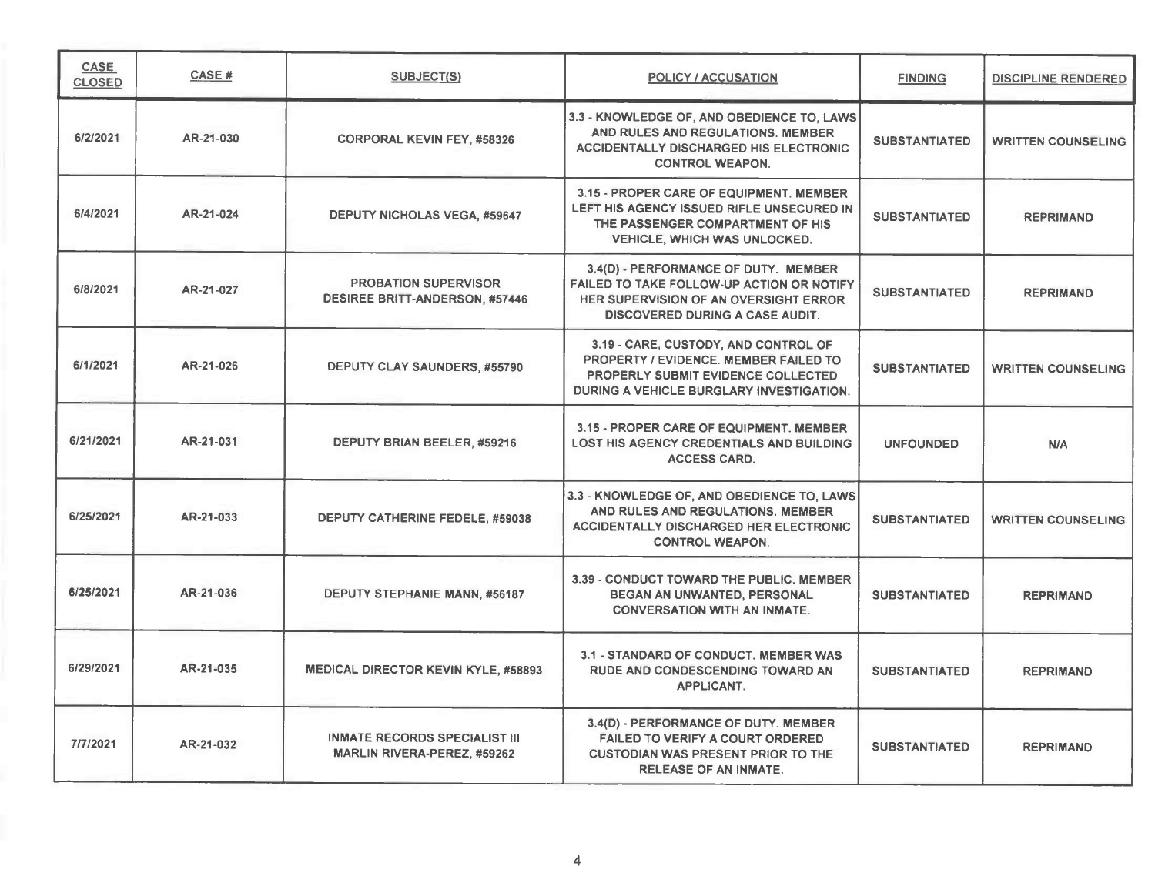| <b>CASE</b><br><b>CLOSED</b> | CASE#     | SUBJECT(S)                                                                 | <b>POLICY / ACCUSATION</b>                                                                                                                                             | <b>FINDING</b>       | <b>DISCIPLINE RENDERED</b> |
|------------------------------|-----------|----------------------------------------------------------------------------|------------------------------------------------------------------------------------------------------------------------------------------------------------------------|----------------------|----------------------------|
| 6/2/2021                     | AR-21-030 | <b>CORPORAL KEVIN FEY, #58326</b>                                          | 3.3 - KNOWLEDGE OF, AND OBEDIENCE TO, LAWS<br>AND RULES AND REGULATIONS. MEMBER<br><b>ACCIDENTALLY DISCHARGED HIS ELECTRONIC</b><br><b>CONTROL WEAPON.</b>             | <b>SUBSTANTIATED</b> | <b>WRITTEN COUNSELING</b>  |
| 6/4/2021                     | AR-21-024 | <b>DEPUTY NICHOLAS VEGA, #59647</b>                                        | 3.15 - PROPER CARE OF EQUIPMENT. MEMBER<br>LEFT HIS AGENCY ISSUED RIFLE UNSECURED IN<br>THE PASSENGER COMPARTMENT OF HIS<br><b>VEHICLE, WHICH WAS UNLOCKED.</b>        | <b>SUBSTANTIATED</b> | <b>REPRIMAND</b>           |
| 6/8/2021                     | AR-21-027 | <b>PROBATION SUPERVISOR</b><br><b>DESIREE BRITT-ANDERSON, #57446</b>       | 3.4(D) - PERFORMANCE OF DUTY. MEMBER<br>FAILED TO TAKE FOLLOW-UP ACTION OR NOTIFY<br>HER SUPERVISION OF AN OVERSIGHT ERROR<br><b>DISCOVERED DURING A CASE AUDIT.</b>   | <b>SUBSTANTIATED</b> | <b>REPRIMAND</b>           |
| 6/1/2021                     | AR-21-026 | DEPUTY CLAY SAUNDERS, #55790                                               | 3.19 - CARE, CUSTODY, AND CONTROL OF<br>PROPERTY / EVIDENCE, MEMBER FAILED TO<br><b>PROPERLY SUBMIT EVIDENCE COLLECTED</b><br>DURING A VEHICLE BURGLARY INVESTIGATION. | <b>SUBSTANTIATED</b> | <b>WRITTEN COUNSELING</b>  |
| 6/21/2021                    | AR-21-031 | DEPUTY BRIAN BEELER, #59216                                                | 3.15 - PROPER CARE OF EQUIPMENT, MEMBER<br><b>LOST HIS AGENCY CREDENTIALS AND BUILDING</b><br><b>ACCESS CARD.</b>                                                      | <b>UNFOUNDED</b>     | N/A                        |
| 6/25/2021                    | AR-21-033 | DEPUTY CATHERINE FEDELE, #59038                                            | 3.3 - KNOWLEDGE OF, AND OBEDIENCE TO, LAWS<br>AND RULES AND REGULATIONS, MEMBER<br><b>ACCIDENTALLY DISCHARGED HER ELECTRONIC</b><br><b>CONTROL WEAPON.</b>             | <b>SUBSTANTIATED</b> | <b>WRITTEN COUNSELING</b>  |
| 6/25/2021                    | AR-21-036 | <b>DEPUTY STEPHANIE MANN, #56187</b>                                       | 3.39 - CONDUCT TOWARD THE PUBLIC, MEMBER<br><b>BEGAN AN UNWANTED, PERSONAL</b><br><b>CONVERSATION WITH AN INMATE.</b>                                                  | <b>SUBSTANTIATED</b> | <b>REPRIMAND</b>           |
| 6/29/2021                    | AR-21-035 | <b>MEDICAL DIRECTOR KEVIN KYLE, #58893</b>                                 | 3.1 - STANDARD OF CONDUCT. MEMBER WAS<br><b>RUDE AND CONDESCENDING TOWARD AN</b><br>APPLICANT.                                                                         | <b>SUBSTANTIATED</b> | <b>REPRIMAND</b>           |
| 7/7/2021                     | AR-21-032 | <b>INMATE RECORDS SPECIALIST III</b><br><b>MARLIN RIVERA-PEREZ, #59262</b> | 3.4(D) - PERFORMANCE OF DUTY. MEMBER<br><b>FAILED TO VERIFY A COURT ORDERED</b><br><b>CUSTODIAN WAS PRESENT PRIOR TO THE</b><br><b>RELEASE OF AN INMATE.</b>           | <b>SUBSTANTIATED</b> | <b>REPRIMAND</b>           |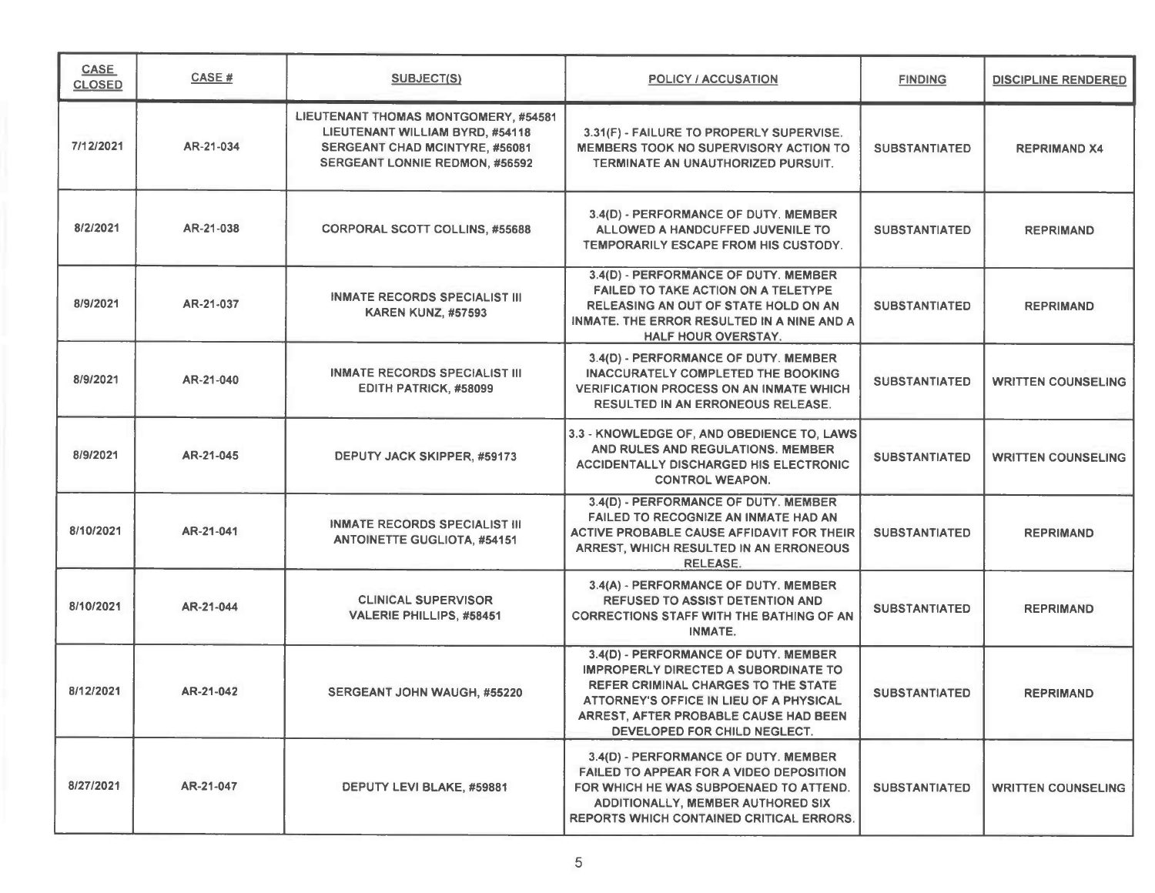| <b>CASE</b><br><b>CLOSED</b> | CASE#     | <b>SUBJECT(S)</b>                                                                                                                                         | <b>POLICY / ACCUSATION</b>                                                                                                                                                                                                                            | <b>FINDING</b>       | <b>DISCIPLINE RENDERED</b> |
|------------------------------|-----------|-----------------------------------------------------------------------------------------------------------------------------------------------------------|-------------------------------------------------------------------------------------------------------------------------------------------------------------------------------------------------------------------------------------------------------|----------------------|----------------------------|
| 7/12/2021                    | AR-21-034 | LIEUTENANT THOMAS MONTGOMERY, #54581<br>LIEUTENANT WILLIAM BYRD, #54118<br><b>SERGEANT CHAD MCINTYRE, #56081</b><br><b>SERGEANT LONNIE REDMON, #56592</b> | 3.31(F) - FAILURE TO PROPERLY SUPERVISE.<br><b>MEMBERS TOOK NO SUPERVISORY ACTION TO</b><br>TERMINATE AN UNAUTHORIZED PURSUIT.                                                                                                                        | <b>SUBSTANTIATED</b> | <b>REPRIMAND X4</b>        |
| 8/2/2021                     | AR-21-038 | <b>CORPORAL SCOTT COLLINS, #55688</b>                                                                                                                     | 3.4(D) - PERFORMANCE OF DUTY. MEMBER<br>ALLOWED A HANDCUFFED JUVENILE TO<br>TEMPORARILY ESCAPE FROM HIS CUSTODY.                                                                                                                                      | <b>SUBSTANTIATED</b> | <b>REPRIMAND</b>           |
| 8/9/2021                     | AR-21-037 | <b>INMATE RECORDS SPECIALIST III</b><br><b>KAREN KUNZ, #57593</b>                                                                                         | 3.4(D) - PERFORMANCE OF DUTY. MEMBER<br><b>FAILED TO TAKE ACTION ON A TELETYPE</b><br><b>RELEASING AN OUT OF STATE HOLD ON AN</b><br>INMATE. THE ERROR RESULTED IN A NINE AND A<br><b>HALF HOUR OVERSTAY.</b>                                         | <b>SUBSTANTIATED</b> | <b>REPRIMAND</b>           |
| 8/9/2021                     | AR-21-040 | <b>INMATE RECORDS SPECIALIST III</b><br>EDITH PATRICK, #58099                                                                                             | 3.4(D) - PERFORMANCE OF DUTY. MEMBER<br><b>INACCURATELY COMPLETED THE BOOKING</b><br><b>VERIFICATION PROCESS ON AN INMATE WHICH</b><br><b>RESULTED IN AN ERRONEOUS RELEASE.</b>                                                                       | <b>SUBSTANTIATED</b> | <b>WRITTEN COUNSELING</b>  |
| 8/9/2021                     | AR-21-045 | DEPUTY JACK SKIPPER, #59173                                                                                                                               | 3.3 - KNOWLEDGE OF, AND OBEDIENCE TO, LAWS<br>AND RULES AND REGULATIONS. MEMBER<br><b>ACCIDENTALLY DISCHARGED HIS ELECTRONIC</b><br><b>CONTROL WEAPON.</b>                                                                                            | <b>SUBSTANTIATED</b> | <b>WRITTEN COUNSELING</b>  |
| 8/10/2021                    | AR-21-041 | <b>INMATE RECORDS SPECIALIST III</b><br><b>ANTOINETTE GUGLIOTA, #54151</b>                                                                                | 3.4(D) - PERFORMANCE OF DUTY. MEMBER<br>FAILED TO RECOGNIZE AN INMATE HAD AN<br>ACTIVE PROBABLE CAUSE AFFIDAVIT FOR THEIR<br>ARREST, WHICH RESULTED IN AN ERRONEOUS<br><b>RELEASE.</b>                                                                | <b>SUBSTANTIATED</b> | <b>REPRIMAND</b>           |
| 8/10/2021                    | AR-21-044 | <b>CLINICAL SUPERVISOR</b><br><b>VALERIE PHILLIPS, #58451</b>                                                                                             | 3.4(A) - PERFORMANCE OF DUTY. MEMBER<br><b>REFUSED TO ASSIST DETENTION AND</b><br><b>CORRECTIONS STAFF WITH THE BATHING OF AN</b><br>INMATE.                                                                                                          | <b>SUBSTANTIATED</b> | <b>REPRIMAND</b>           |
| 8/12/2021                    | AR-21-042 | <b>SERGEANT JOHN WAUGH, #55220</b>                                                                                                                        | 3.4(D) - PERFORMANCE OF DUTY. MEMBER<br><b>IMPROPERLY DIRECTED A SUBORDINATE TO</b><br><b>REFER CRIMINAL CHARGES TO THE STATE</b><br>ATTORNEY'S OFFICE IN LIEU OF A PHYSICAL<br>ARREST, AFTER PROBABLE CAUSE HAD BEEN<br>DEVELOPED FOR CHILD NEGLECT. | <b>SUBSTANTIATED</b> | <b>REPRIMAND</b>           |
| 8/27/2021                    | AR-21-047 | DEPUTY LEVI BLAKE, #59881                                                                                                                                 | 3.4(D) - PERFORMANCE OF DUTY, MEMBER<br><b>FAILED TO APPEAR FOR A VIDEO DEPOSITION</b><br>FOR WHICH HE WAS SUBPOENAED TO ATTEND.<br>ADDITIONALLY, MEMBER AUTHORED SIX<br><b>REPORTS WHICH CONTAINED CRITICAL ERRORS.</b>                              | <b>SUBSTANTIATED</b> | <b>WRITTEN COUNSELING</b>  |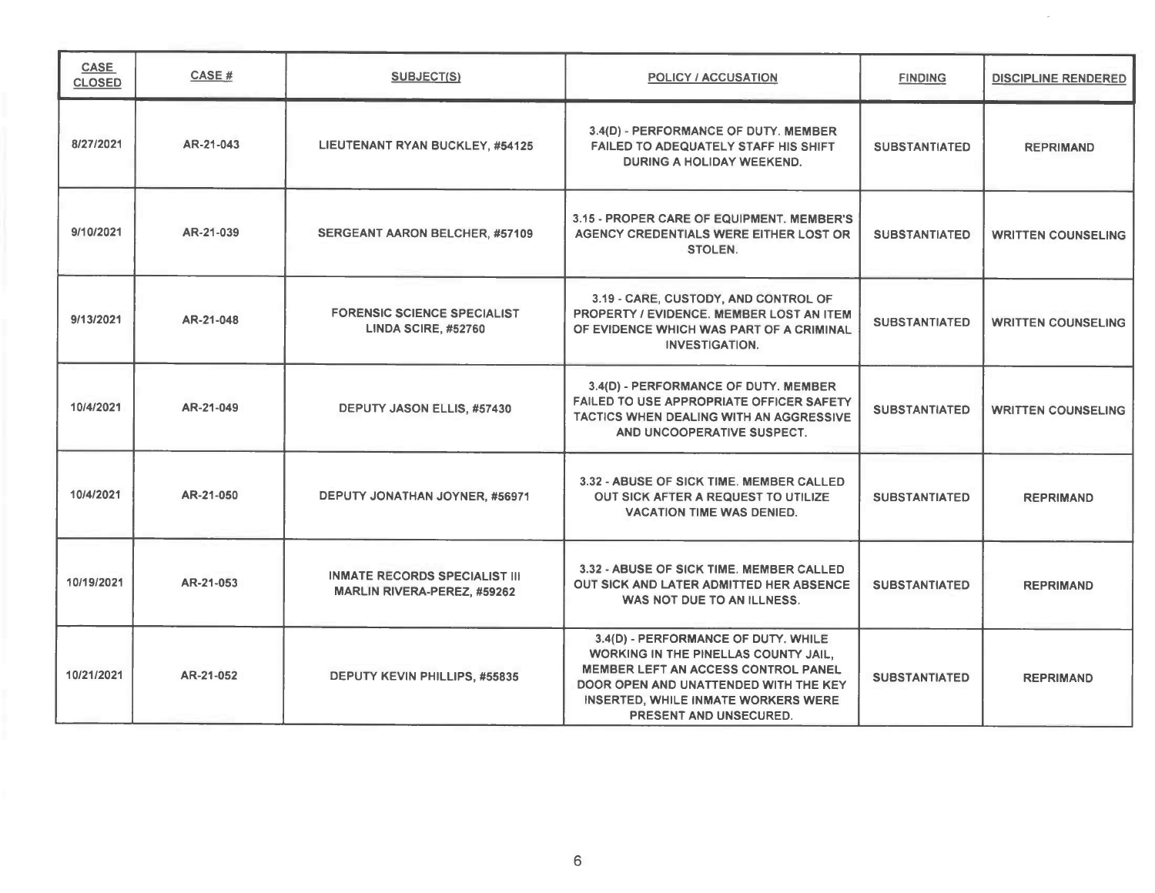| <b>CASE</b><br><b>CLOSED</b> | CASE #    | <b>SUBJECT(S)</b>                                                          | <b>POLICY / ACCUSATION</b>                                                                                                                                                                                                                        | <b>FINDING</b>       | <b>DISCIPLINE RENDERED</b> |
|------------------------------|-----------|----------------------------------------------------------------------------|---------------------------------------------------------------------------------------------------------------------------------------------------------------------------------------------------------------------------------------------------|----------------------|----------------------------|
| 8/27/2021                    | AR-21-043 | LIEUTENANT RYAN BUCKLEY, #54125                                            | 3.4(D) - PERFORMANCE OF DUTY. MEMBER<br>FAILED TO ADEQUATELY STAFF HIS SHIFT<br>DURING A HOLIDAY WEEKEND.                                                                                                                                         | <b>SUBSTANTIATED</b> | <b>REPRIMAND</b>           |
| 9/10/2021                    | AR-21-039 | <b>SERGEANT AARON BELCHER, #57109</b>                                      | 3.15 - PROPER CARE OF EQUIPMENT. MEMBER'S<br>AGENCY CREDENTIALS WERE EITHER LOST OR<br><b>STOLEN.</b>                                                                                                                                             | <b>SUBSTANTIATED</b> | <b>WRITTEN COUNSELING</b>  |
| 9/13/2021                    | AR-21-048 | <b>FORENSIC SCIENCE SPECIALIST</b><br><b>LINDA SCIRE, #52760</b>           | 3.19 - CARE, CUSTODY, AND CONTROL OF<br>PROPERTY / EVIDENCE, MEMBER LOST AN ITEM<br>OF EVIDENCE WHICH WAS PART OF A CRIMINAL<br><b>INVESTIGATION.</b>                                                                                             | <b>SUBSTANTIATED</b> | <b>WRITTEN COUNSELING</b>  |
| 10/4/2021                    | AR-21-049 | <b>DEPUTY JASON ELLIS, #57430</b>                                          | 3.4(D) - PERFORMANCE OF DUTY. MEMBER<br><b>FAILED TO USE APPROPRIATE OFFICER SAFETY</b><br>TACTICS WHEN DEALING WITH AN AGGRESSIVE<br>AND UNCOOPERATIVE SUSPECT.                                                                                  | <b>SUBSTANTIATED</b> | <b>WRITTEN COUNSELING</b>  |
| 10/4/2021                    | AR-21-050 | DEPUTY JONATHAN JOYNER, #56971                                             | 3.32 - ABUSE OF SICK TIME. MEMBER CALLED<br>OUT SICK AFTER A REQUEST TO UTILIZE<br><b>VACATION TIME WAS DENIED.</b>                                                                                                                               | <b>SUBSTANTIATED</b> | <b>REPRIMAND</b>           |
| 10/19/2021                   | AR-21-053 | <b>INMATE RECORDS SPECIALIST III</b><br><b>MARLIN RIVERA-PEREZ, #59262</b> | 3.32 - ABUSE OF SICK TIME. MEMBER CALLED<br>OUT SICK AND LATER ADMITTED HER ABSENCE<br>WAS NOT DUE TO AN ILLNESS.                                                                                                                                 | <b>SUBSTANTIATED</b> | <b>REPRIMAND</b>           |
| 10/21/2021                   | AR-21-052 | DEPUTY KEVIN PHILLIPS, #55835                                              | 3.4(D) - PERFORMANCE OF DUTY. WHILE<br><b>WORKING IN THE PINELLAS COUNTY JAIL.</b><br><b>MEMBER LEFT AN ACCESS CONTROL PANEL</b><br>DOOR OPEN AND UNATTENDED WITH THE KEY<br>INSERTED, WHILE INMATE WORKERS WERE<br><b>PRESENT AND UNSECURED.</b> | <b>SUBSTANTIATED</b> | <b>REPRIMAND</b>           |

 $\sim$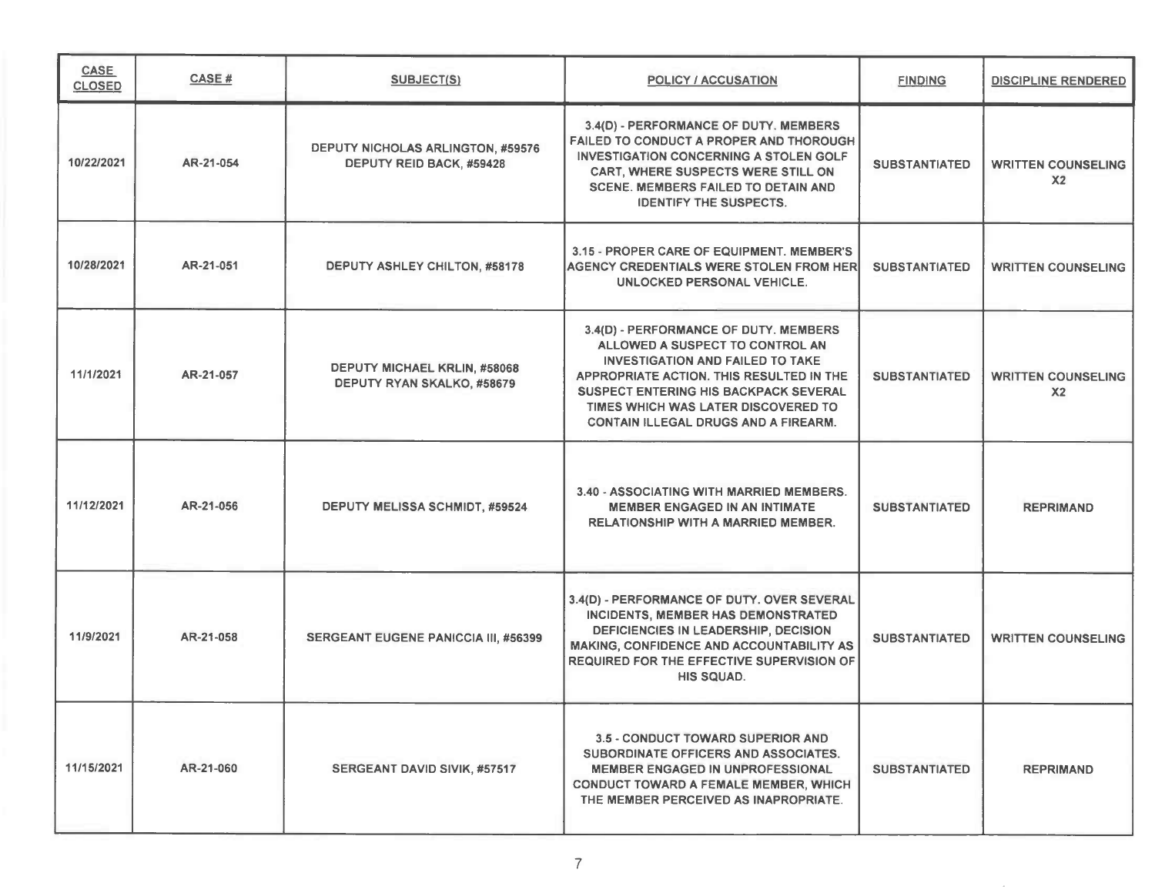| <b>CASE</b><br><b>CLOSED</b> | CASE#     | <b>SUBJECT(S)</b>                                                    | <b>POLICY / ACCUSATION</b>                                                                                                                                                                                                                                                                            | <b>FINDING</b>       | <b>DISCIPLINE RENDERED</b>                  |
|------------------------------|-----------|----------------------------------------------------------------------|-------------------------------------------------------------------------------------------------------------------------------------------------------------------------------------------------------------------------------------------------------------------------------------------------------|----------------------|---------------------------------------------|
| 10/22/2021                   | AR-21-054 | <b>DEPUTY NICHOLAS ARLINGTON, #59576</b><br>DEPUTY REID BACK, #59428 | 3.4(D) - PERFORMANCE OF DUTY. MEMBERS<br>FAILED TO CONDUCT A PROPER AND THOROUGH<br><b>INVESTIGATION CONCERNING A STOLEN GOLF</b><br>CART, WHERE SUSPECTS WERE STILL ON<br><b>SCENE. MEMBERS FAILED TO DETAIN AND</b><br><b>IDENTIFY THE SUSPECTS.</b>                                                | <b>SUBSTANTIATED</b> | <b>WRITTEN COUNSELING</b><br>X <sub>2</sub> |
| 10/28/2021                   | AR-21-051 | DEPUTY ASHLEY CHILTON, #58178                                        | 3.15 - PROPER CARE OF EQUIPMENT. MEMBER'S<br><b>AGENCY CREDENTIALS WERE STOLEN FROM HER</b><br>UNLOCKED PERSONAL VEHICLE.                                                                                                                                                                             | <b>SUBSTANTIATED</b> | <b>WRITTEN COUNSELING</b>                   |
| 11/1/2021                    | AR-21-057 | DEPUTY MICHAEL KRLIN, #58068<br>DEPUTY RYAN SKALKO, #58679           | 3.4(D) - PERFORMANCE OF DUTY. MEMBERS<br>ALLOWED A SUSPECT TO CONTROL AN<br><b>INVESTIGATION AND FAILED TO TAKE</b><br>APPROPRIATE ACTION. THIS RESULTED IN THE<br><b>SUSPECT ENTERING HIS BACKPACK SEVERAL</b><br>TIMES WHICH WAS LATER DISCOVERED TO<br><b>CONTAIN ILLEGAL DRUGS AND A FIREARM.</b> | <b>SUBSTANTIATED</b> | <b>WRITTEN COUNSELING</b><br>X <sub>2</sub> |
| 11/12/2021                   | AR-21-056 | <b>DEPUTY MELISSA SCHMIDT, #59524</b>                                | 3.40 - ASSOCIATING WITH MARRIED MEMBERS.<br><b>MEMBER ENGAGED IN AN INTIMATE</b><br><b>RELATIONSHIP WITH A MARRIED MEMBER.</b>                                                                                                                                                                        | <b>SUBSTANTIATED</b> | <b>REPRIMAND</b>                            |
| 11/9/2021                    | AR-21-058 | <b>SERGEANT EUGENE PANICCIA III, #56399</b>                          | 3.4(D) - PERFORMANCE OF DUTY. OVER SEVERAL<br>INCIDENTS, MEMBER HAS DEMONSTRATED<br>DEFICIENCIES IN LEADERSHIP, DECISION<br><b>MAKING, CONFIDENCE AND ACCOUNTABILITY AS</b><br><b>REQUIRED FOR THE EFFECTIVE SUPERVISION OF</b><br>HIS SQUAD.                                                         | <b>SUBSTANTIATED</b> | <b>WRITTEN COUNSELING</b>                   |
| 11/15/2021                   | AR-21-060 | <b>SERGEANT DAVID SIVIK, #57517</b>                                  | <b>3.5 - CONDUCT TOWARD SUPERIOR AND</b><br>SUBORDINATE OFFICERS AND ASSOCIATES.<br><b>MEMBER ENGAGED IN UNPROFESSIONAL</b><br><b>CONDUCT TOWARD A FEMALE MEMBER, WHICH</b><br>THE MEMBER PERCEIVED AS INAPROPRIATE.                                                                                  | <b>SUBSTANTIATED</b> | <b>REPRIMAND</b>                            |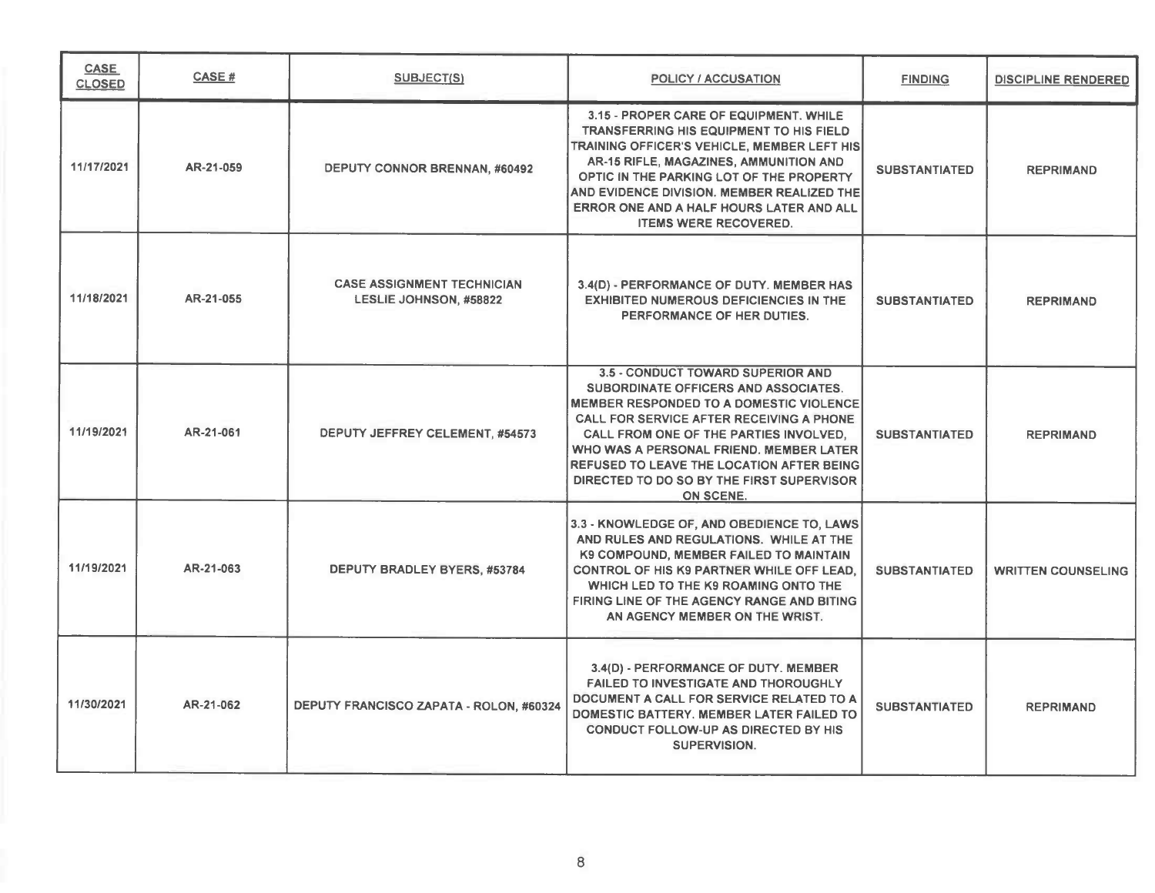| <b>CASE</b><br><b>CLOSED</b> | CASE#     | <b>SUBJECT(S)</b>                                                  | <b>POLICY / ACCUSATION</b>                                                                                                                                                                                                                                                                                                                                                                      | <b>FINDING</b>       | <b>DISCIPLINE RENDERED</b> |
|------------------------------|-----------|--------------------------------------------------------------------|-------------------------------------------------------------------------------------------------------------------------------------------------------------------------------------------------------------------------------------------------------------------------------------------------------------------------------------------------------------------------------------------------|----------------------|----------------------------|
| 11/17/2021                   | AR-21-059 | <b>DEPUTY CONNOR BRENNAN, #60492</b>                               | 3.15 - PROPER CARE OF EQUIPMENT, WHILE<br><b>TRANSFERRING HIS EQUIPMENT TO HIS FIELD</b><br>TRAINING OFFICER'S VEHICLE, MEMBER LEFT HIS<br>AR-15 RIFLE, MAGAZINES, AMMUNITION AND<br>OPTIC IN THE PARKING LOT OF THE PROPERTY<br>AND EVIDENCE DIVISION. MEMBER REALIZED THE<br>ERROR ONE AND A HALF HOURS LATER AND ALL<br><b>ITEMS WERE RECOVERED.</b>                                         | <b>SUBSTANTIATED</b> | <b>REPRIMAND</b>           |
| 11/18/2021                   | AR-21-055 | <b>CASE ASSIGNMENT TECHNICIAN</b><br><b>LESLIE JOHNSON, #58822</b> | 3.4(D) - PERFORMANCE OF DUTY. MEMBER HAS<br><b>EXHIBITED NUMEROUS DEFICIENCIES IN THE</b><br>PERFORMANCE OF HER DUTIES.                                                                                                                                                                                                                                                                         | <b>SUBSTANTIATED</b> | <b>REPRIMAND</b>           |
| 11/19/2021                   | AR-21-061 | DEPUTY JEFFREY CELEMENT, #54573                                    | <b>3.5 - CONDUCT TOWARD SUPERIOR AND</b><br>SUBORDINATE OFFICERS AND ASSOCIATES.<br><b>MEMBER RESPONDED TO A DOMESTIC VIOLENCE</b><br><b>CALL FOR SERVICE AFTER RECEIVING A PHONE</b><br>CALL FROM ONE OF THE PARTIES INVOLVED.<br>WHO WAS A PERSONAL FRIEND. MEMBER LATER<br><b>REFUSED TO LEAVE THE LOCATION AFTER BEING</b><br>DIRECTED TO DO SO BY THE FIRST SUPERVISOR<br><b>ON SCENE.</b> | <b>SUBSTANTIATED</b> | <b>REPRIMAND</b>           |
| 11/19/2021                   | AR-21-063 | DEPUTY BRADLEY BYERS, #53784                                       | 3.3 - KNOWLEDGE OF, AND OBEDIENCE TO, LAWS<br>AND RULES AND REGULATIONS. WHILE AT THE<br>K9 COMPOUND, MEMBER FAILED TO MAINTAIN<br><b>CONTROL OF HIS K9 PARTNER WHILE OFF LEAD.</b><br>WHICH LED TO THE K9 ROAMING ONTO THE<br>FIRING LINE OF THE AGENCY RANGE AND BITING<br>AN AGENCY MEMBER ON THE WRIST.                                                                                     | <b>SUBSTANTIATED</b> | <b>WRITTEN COUNSELING</b>  |
| 11/30/2021                   | AR-21-062 | DEPUTY FRANCISCO ZAPATA - ROLON, #60324                            | 3.4(D) - PERFORMANCE OF DUTY. MEMBER<br><b>FAILED TO INVESTIGATE AND THOROUGHLY</b><br>DOCUMENT A CALL FOR SERVICE RELATED TO A<br>DOMESTIC BATTERY. MEMBER LATER FAILED TO<br><b>CONDUCT FOLLOW-UP AS DIRECTED BY HIS</b><br><b>SUPERVISION.</b>                                                                                                                                               | <b>SUBSTANTIATED</b> | <b>REPRIMAND</b>           |